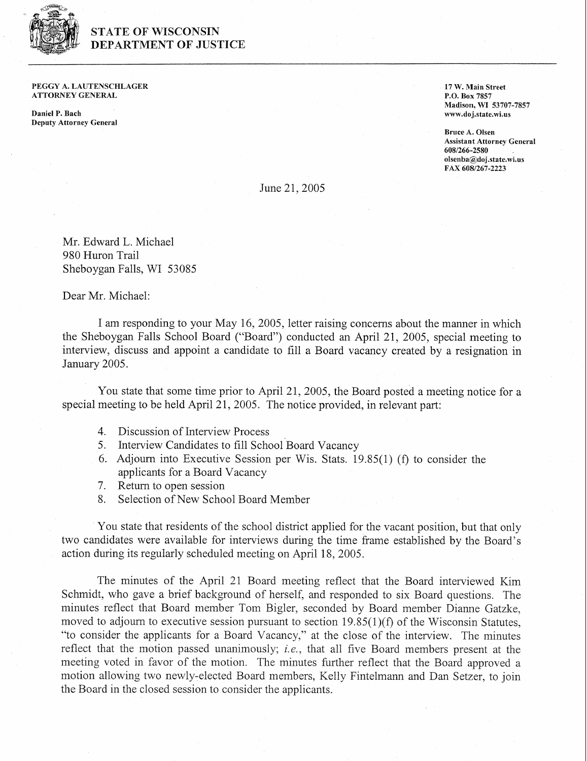

## **STATE OF WISCONSIN DEPARTMENT OF JUSTICE**

**PEGGY A. LAUTENSCHLAGER ATTORNEYGENERAL** 

**Daniel P. Bach Deputy Attorney General** 

*17* **W. Main Street P.O. Box** *7857*  **Madison, WI** *53707-7857*  **www.doj.state.wi.us** 

**Bruce A. Olsen Assistant Attorney General**  *6081266-2580*  **olsenba@doj.state.wi.us**  *FAX 6081267-2223* 

June 21, 2005

Mr. Edward L. Michael 980 Huron Trail Sheboygan Falls, WI 53085

Dear Mr. Michael:

I am responding to your May 16, 2005, letter raising concerns about the manner in which the Sheboygan Falls School Board ("Board") conducted an April 21, 2005, special meeting to interview, discuss and appoint a candidate to fill a Board vacancy created by a resignation in January 2005.

You state that some time prior to April 21, 2005, the Board posted a meeting notice for a special meeting to be held April 21, 2005. The notice provided, in relevant part:

- 4. Discussion of Interview Process
- 5. Interview Candidates to fill School Board Vacancy
- 6. Adjourn into Executive Session per Wis. Stats. 19.85(1) (f) to consider the applicants for a Board Vacancy
- 7. Return to open session
- 8. Selection of New School Board Member

You state that residents of the school district applied for the vacant position, but that only two candidates were available for interviews during the time frame established by the Board's action during its regularly scheduled meeting on April 18, 2005.

The minutes of the April 21 Board meeting reflect that the Board interviewed Kim Schmidt, who gave a brief background of herself, and responded to six Board questions. The minutes reflect that Board member Tom Bigler, seconded by Board member Dianne Gatzke, moved to adjourn to executive session pursuant to section 19.85(1)(f) of the Wisconsin Statutes, "to consider the applicants for a Board Vacancy," at the close of the interview. The minutes reflect that the motion passed unanimously; *i.e.,* that all five Board members present at the meeting voted in favor of the motion. The minutes further reflect that the Board approved a motion allowing two newly-elected Board members, Kelly Fintelmann and Dan Setzer, to join the Board in the closed session to consider the applicants.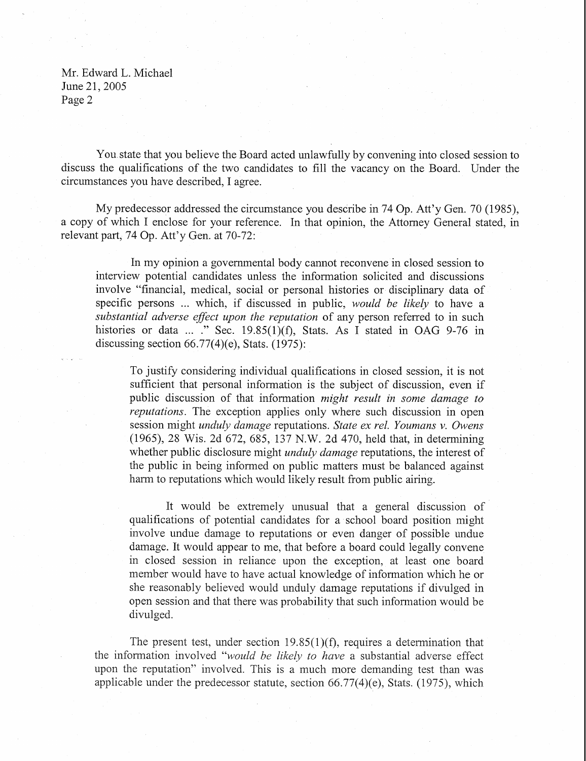Mr. Edward L. Michael June 21, 2005 Page 2

You state that you believe the Board acted unlawfully by convening into closed session to discuss the qualifications of the two candidates to fill the vacancy on the Board. Under the circumstances you have described, I agree.

My predecessor addressed the circumstance you describe in 74 Op. Att'y Gen. 70 (1985), a copy of which I enclose for your reference. In that opinion, the Attorney General stated, in relevant part, 74 Op. Att'y Gen. at 70-72:

In my opinion a governmental body cannot reconvene in closed session to interview potential candidates unless the information solicited and discussions involve "financial, medical, social or personal histories or disciplinary data of specific persons ... which, if discussed in public, *would be likely* to have a *substantial adverse effect upon the reputation* of any person referred to in such histories or data ... ..." Sec. 19.85(1)(f), Stats. As I stated in OAG 9-76 in discussing section  $66.77(4)$ (e), Stats. (1975):

To justify considering individual qualifications in closed session, it is not sufficient that personal information is the subject of discussion, even if public discussion of that information *might result in some damage to reputations.* The exception applies only where such discussion in open session might *unduly damage* reputations. *State ex rel. Youmans v. Owens*  (1965), 28 Wis. 2d 672, 685, 137 N.W. 2d 470, held that, in determining whether public disclosure might *unduly damage* reputations, the interest of the public in being informed on public matters must be balanced against harm to reputations which would likely result from public airing.

It would be extremely unusual that a general discussion of qualifications of potential candidates for a school board position might involve undue damage to reputations or even danger of possible undue damage. It would appear to me, that before a board could legally convene in closed session in reliance upon the exception, at least one board member would have to have actual knowledge of information which he or she reasonably believed would unduly damage reputations if divulged in open session and that there was probability that such infornation would be divulged.

The present test, under section  $19.85(1)(f)$ , requires a determination that the information involved "would *be* likely *to have* a substantial adverse effect upon the reputation" involved. This is a much more demanding test than was applicable under the predecessor statute, section 66.77(4)(e), Stats. (1975), which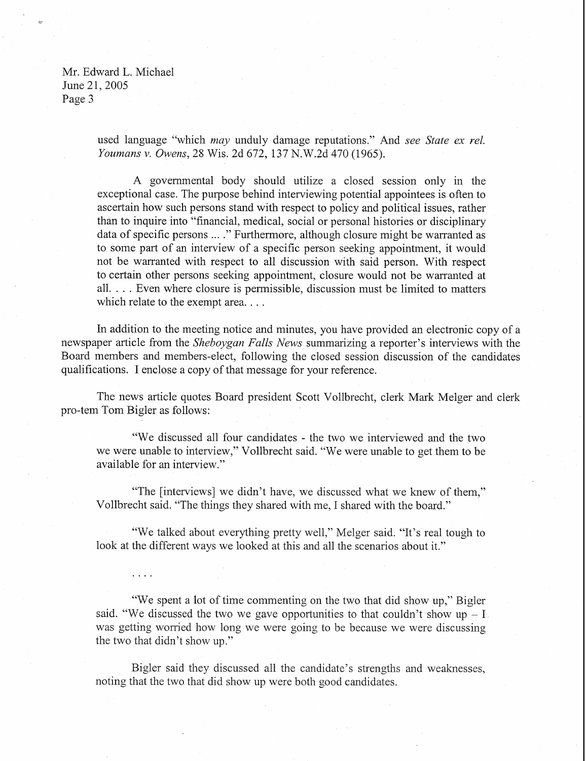Mr. Edward L. Michael June 21, 2005 Page 3

 $\cdots$ 

used language "which *may* unduly damage reputations." And *see State ex rel. Youmans* v. *Owens,* 28 Wis. 2d 672, 137 N.W.2d 470 (1965).

A governmental body should utilize a closed session only in the exceptional case. The purpose behind interviewing potential appointees is often to ascertain how such persons stand with respect to policy and political issues, rather than to inquire into "financial, medical, social or personal histories or disciplinary data of specific persons ... ." Furthermore, although closure might be warranted as to some part of an interview of a specific person seeking appointment, it would not be warranted with respect to all discussion with said person. With respect to certain other persons seeking appointment, closure would not be warranted at all. . . . Even where closure is permissible, discussion must be limited to matters which relate to the exempt area. . . .

In addition to the meeting notice and minutes, you have provided an electronic copy of a newspaper article from the *Sheboygan Falls News* summarizing a reporter's interviews with the Board members and members-elect, following the closed session discussion of the candidates qualifications. I enclose a copy of that message for your reference.

The news article quotes Board president Scott Vollbrecht, clerk Mark Melger and clerk pro-tem Tom Bigler as follows:

"We discussed all four candidates - the two we interviewed and the two we were unable to interview," Vollbrecht said. "We were unable to get them to be available for an interview."

"The [interviews] we didn't have, we discussed what we knew of them," Vollbrecht said. "The things they shared with me, I shared with the board."

"We talked about everything pretty well," Melger said. "It's real tough to look at the different ways we looked at this and all the scenarios about it."

"We spent a lot of time commenting on the two that did show up," Bigler said. "We discussed the two we gave opportunities to that couldn't show up  $-1$ was getting worried how long we were going to be because we were discussing the two that didn't show up."

Bigler said they discussed all the candidate's strengths and weaknesses, noting that the two that did show up were both good candidates.